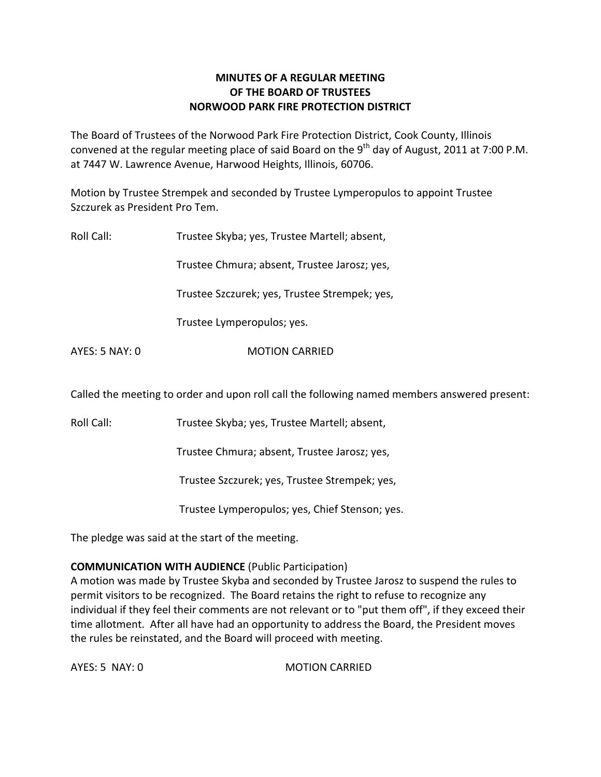# **MINUTES OF A REGULAR MEETING OF THE BOARD OF TRUSTEES NORWOOD PARK FIRE PROTECTION DISTRICT**

The Board of Trustees of the Norwood Park Fire Protection District, Cook County, Illinois convened at the regular meeting place of said Board on the 9<sup>th</sup> day of August, 2011 at 7:00 P.M. at 7447 W. Lawrence Avenue, Harwood Heights, Illinois, 60706.

Motion by Trustee Strempek and seconded by Trustee Lymperopulos to appoint Trustee Szczurek as President Pro Tem.

| Roll Call:     | Trustee Skyba; yes, Trustee Martell; absent,  |  |
|----------------|-----------------------------------------------|--|
|                | Trustee Chmura; absent, Trustee Jarosz; yes,  |  |
|                | Trustee Szczurek; yes, Trustee Strempek; yes, |  |
|                | Trustee Lymperopulos; yes.                    |  |
| AYES: 5 NAY: 0 | <b>MOTION CARRIED</b>                         |  |

Called the meeting to order and upon roll call the following named members answered present:

Roll Call: Trustee Skyba; yes, Trustee Martell; absent,

Trustee Chmura; absent, Trustee Jarosz; yes,

Trustee Szczurek; yes, Trustee Strempek; yes,

Trustee Lymperopulos; yes, Chief Stenson; yes.

The pledge was said at the start of the meeting.

# **COMMUNICATION WITH AUDIENCE** (Public Participation)

A motion was made by Trustee Skyba and seconded by Trustee Jarosz to suspend the rules to permit visitors to be recognized. The Board retains the right to refuse to recognize any individual if they feel their comments are not relevant or to "put them off", if they exceed their time allotment. After all have had an opportunity to address the Board, the President moves the rules be reinstated, and the Board will proceed with meeting.

AYES: 5 NAY: 0 MOTION CARRIED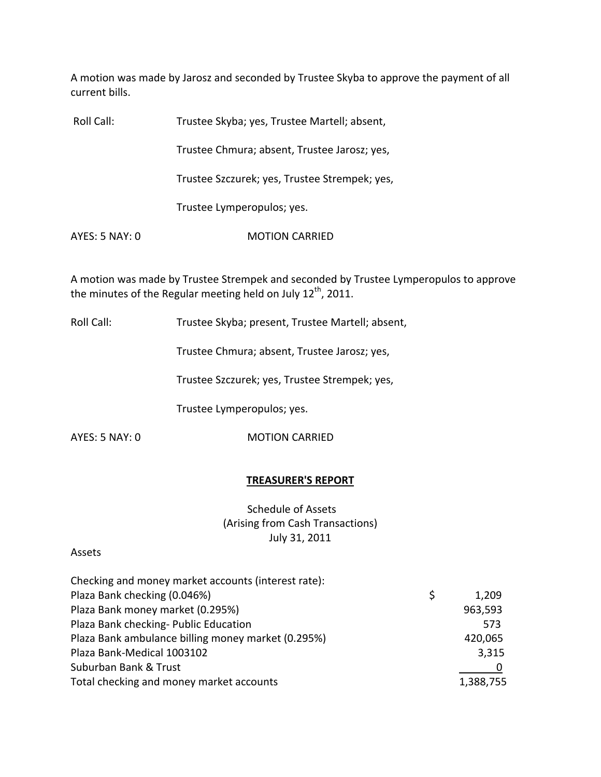A motion was made by Jarosz and seconded by Trustee Skyba to approve the payment of all current bills.

| Roll Call:     | Trustee Skyba; yes, Trustee Martell; absent,  |
|----------------|-----------------------------------------------|
|                | Trustee Chmura; absent, Trustee Jarosz; yes,  |
|                | Trustee Szczurek; yes, Trustee Strempek; yes, |
|                | Trustee Lymperopulos; yes.                    |
| AYES: 5 NAY: 0 | <b>MOTION CARRIED</b>                         |

A motion was made by Trustee Strempek and seconded by Trustee Lymperopulos to approve the minutes of the Regular meeting held on July 12<sup>th</sup>, 2011.

Roll Call: Trustee Skyba; present, Trustee Martell; absent,

Trustee Chmura; absent, Trustee Jarosz; yes,

Trustee Szczurek; yes, Trustee Strempek; yes,

Trustee Lymperopulos; yes.

AYES: 5 NAY: 0 MOTION CARRIED

### **TREASURER'S REPORT**

Schedule of Assets (Arising from Cash Transactions) July 31, 2011

#### Assets

| \$<br>1,209 |
|-------------|
| 963,593     |
| 573         |
| 420,065     |
| 3,315       |
|             |
| 1,388,755   |
|             |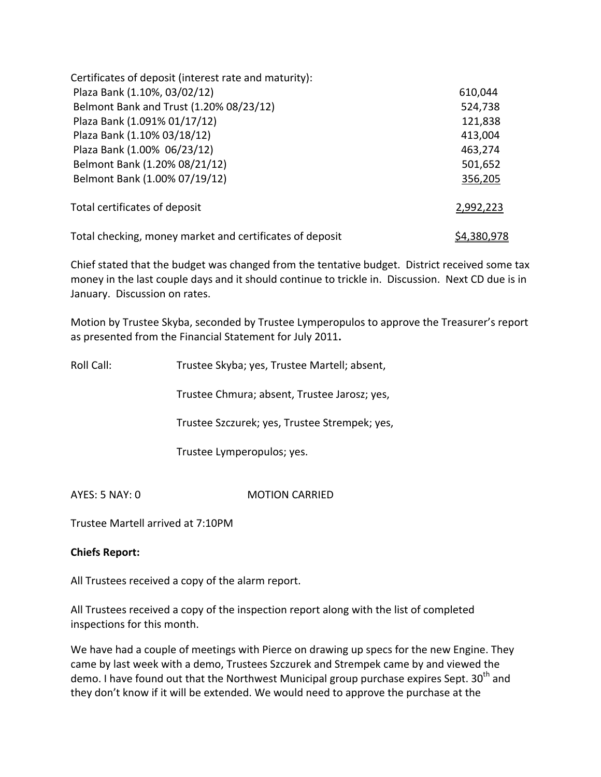| Certificates of deposit (interest rate and maturity):    |             |
|----------------------------------------------------------|-------------|
| Plaza Bank (1.10%, 03/02/12)                             | 610,044     |
| Belmont Bank and Trust (1.20% 08/23/12)                  | 524,738     |
| Plaza Bank (1.091% 01/17/12)                             | 121,838     |
| Plaza Bank (1.10% 03/18/12)                              | 413,004     |
| Plaza Bank (1.00% 06/23/12)                              | 463,274     |
| Belmont Bank (1.20% 08/21/12)                            | 501,652     |
| Belmont Bank (1.00% 07/19/12)                            | 356,205     |
| Total certificates of deposit                            | 2,992,223   |
| Total checking, money market and certificates of deposit | \$4,380,978 |

Chief stated that the budget was changed from the tentative budget. District received some tax money in the last couple days and it should continue to trickle in. Discussion. Next CD due is in January. Discussion on rates.

Motion by Trustee Skyba, seconded by Trustee Lymperopulos to approve the Treasurer's report as presented from the Financial Statement for July 2011**.**

| Roll Call:     | Trustee Skyba; yes, Trustee Martell; absent,  |  |
|----------------|-----------------------------------------------|--|
|                | Trustee Chmura; absent, Trustee Jarosz; yes,  |  |
|                | Trustee Szczurek; yes, Trustee Strempek; yes, |  |
|                | Trustee Lymperopulos; yes.                    |  |
| AYES: 5 NAY: 0 | <b>MOTION CARRIED</b>                         |  |

Trustee Martell arrived at 7:10PM

# **Chiefs Report:**

All Trustees received a copy of the alarm report.

All Trustees received a copy of the inspection report along with the list of completed inspections for this month.

We have had a couple of meetings with Pierce on drawing up specs for the new Engine. They came by last week with a demo, Trustees Szczurek and Strempek came by and viewed the demo. I have found out that the Northwest Municipal group purchase expires Sept. 30<sup>th</sup> and they don't know if it will be extended. We would need to approve the purchase at the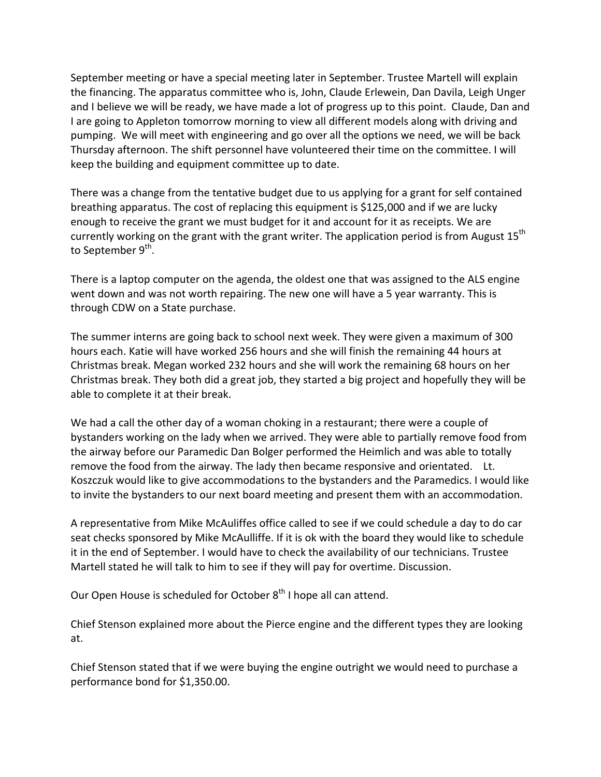September meeting or have a special meeting later in September. Trustee Martell will explain the financing. The apparatus committee who is, John, Claude Erlewein, Dan Davila, Leigh Unger and I believe we will be ready, we have made a lot of progress up to this point. Claude, Dan and I are going to Appleton tomorrow morning to view all different models along with driving and pumping. We will meet with engineering and go over all the options we need, we will be back Thursday afternoon. The shift personnel have volunteered their time on the committee. I will keep the building and equipment committee up to date.

There was a change from the tentative budget due to us applying for a grant for self contained breathing apparatus. The cost of replacing this equipment is \$125,000 and if we are lucky enough to receive the grant we must budget for it and account for it as receipts. We are currently working on the grant with the grant writer. The application period is from August 15<sup>th</sup> to September 9<sup>th</sup>.

There is a laptop computer on the agenda, the oldest one that was assigned to the ALS engine went down and was not worth repairing. The new one will have a 5 year warranty. This is through CDW on a State purchase.

The summer interns are going back to school next week. They were given a maximum of 300 hours each. Katie will have worked 256 hours and she will finish the remaining 44 hours at Christmas break. Megan worked 232 hours and she will work the remaining 68 hours on her Christmas break. They both did a great job, they started a big project and hopefully they will be able to complete it at their break.

We had a call the other day of a woman choking in a restaurant; there were a couple of bystanders working on the lady when we arrived. They were able to partially remove food from the airway before our Paramedic Dan Bolger performed the Heimlich and was able to totally remove the food from the airway. The lady then became responsive and orientated. Lt. Koszczuk would like to give accommodations to the bystanders and the Paramedics. I would like to invite the bystanders to our next board meeting and present them with an accommodation.

A representative from Mike McAuliffes office called to see if we could schedule a day to do car seat checks sponsored by Mike McAulliffe. If it is ok with the board they would like to schedule it in the end of September. I would have to check the availability of our technicians. Trustee Martell stated he will talk to him to see if they will pay for overtime. Discussion.

Our Open House is scheduled for October 8<sup>th</sup> I hope all can attend.

Chief Stenson explained more about the Pierce engine and the different types they are looking at.

Chief Stenson stated that if we were buying the engine outright we would need to purchase a performance bond for \$1,350.00.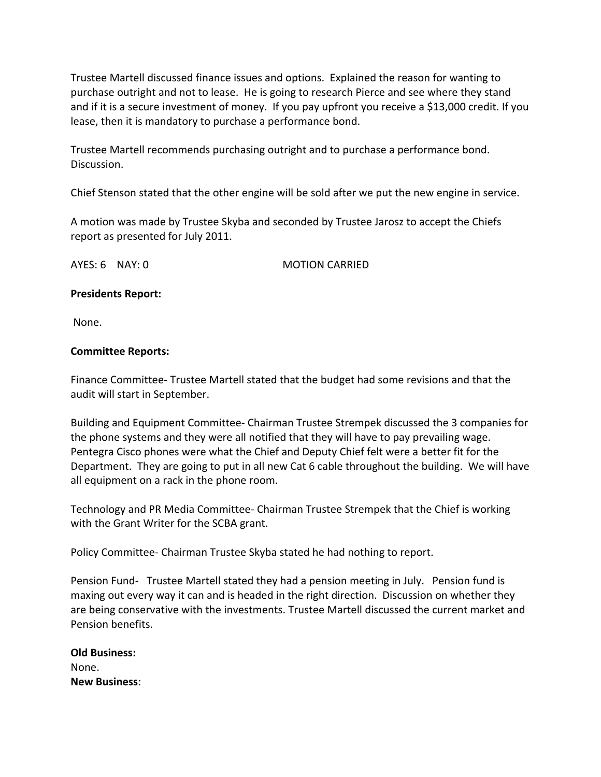Trustee Martell discussed finance issues and options. Explained the reason for wanting to purchase outright and not to lease. He is going to research Pierce and see where they stand and if it is a secure investment of money. If you pay upfront you receive a \$13,000 credit. If you lease, then it is mandatory to purchase a performance bond.

Trustee Martell recommends purchasing outright and to purchase a performance bond. Discussion.

Chief Stenson stated that the other engine will be sold after we put the new engine in service.

A motion was made by Trustee Skyba and seconded by Trustee Jarosz to accept the Chiefs report as presented for July 2011.

AYES: 6 NAY: 0 MOTION CARRIED

### **Presidents Report:**

None.

### **Committee Reports:**

Finance Committee‐ Trustee Martell stated that the budget had some revisions and that the audit will start in September.

Building and Equipment Committee‐ Chairman Trustee Strempek discussed the 3 companies for the phone systems and they were all notified that they will have to pay prevailing wage. Pentegra Cisco phones were what the Chief and Deputy Chief felt were a better fit for the Department. They are going to put in all new Cat 6 cable throughout the building. We will have all equipment on a rack in the phone room.

Technology and PR Media Committee‐ Chairman Trustee Strempek that the Chief is working with the Grant Writer for the SCBA grant.

Policy Committee‐ Chairman Trustee Skyba stated he had nothing to report.

Pension Fund- Trustee Martell stated they had a pension meeting in July. Pension fund is maxing out every way it can and is headed in the right direction. Discussion on whether they are being conservative with the investments. Trustee Martell discussed the current market and Pension benefits.

| <b>Old Business:</b> |
|----------------------|
| None.                |
| <b>New Business:</b> |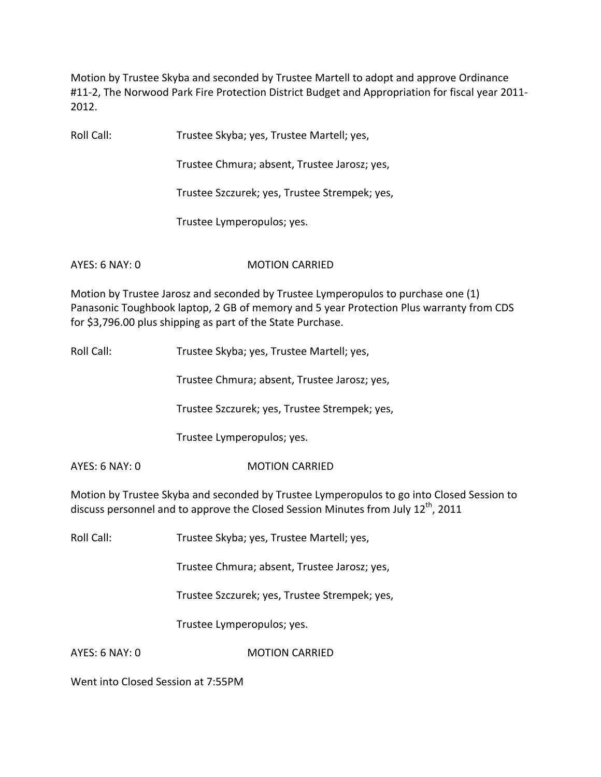Motion by Trustee Skyba and seconded by Trustee Martell to adopt and approve Ordinance #11-2, The Norwood Park Fire Protection District Budget and Appropriation for fiscal year 2011-2012.

Roll Call: Trustee Skyba; yes, Trustee Martell; yes,

Trustee Chmura; absent, Trustee Jarosz; yes,

Trustee Szczurek; yes, Trustee Strempek; yes,

Trustee Lymperopulos; yes.

AYES: 6 NAY: 0 MOTION CARRIED

Motion by Trustee Jarosz and seconded by Trustee Lymperopulos to purchase one (1) Panasonic Toughbook laptop, 2 GB of memory and 5 year Protection Plus warranty from CDS for \$3,796.00 plus shipping as part of the State Purchase.

Roll Call: Trustee Skyba; yes, Trustee Martell; yes,

Trustee Chmura; absent, Trustee Jarosz; yes,

Trustee Szczurek; yes, Trustee Strempek; yes,

Trustee Lymperopulos; yes.

AYES: 6 NAY: 0 **MOTION CARRIED** 

Motion by Trustee Skyba and seconded by Trustee Lymperopulos to go into Closed Session to discuss personnel and to approve the Closed Session Minutes from July 12<sup>th</sup>, 2011

Roll Call: Trustee Skyba; yes, Trustee Martell; yes,

Trustee Chmura; absent, Trustee Jarosz; yes,

Trustee Szczurek; yes, Trustee Strempek; yes,

Trustee Lymperopulos; yes.

AYES: 6 NAY: 0 MOTION CARRIED

Went into Closed Session at 7:55PM